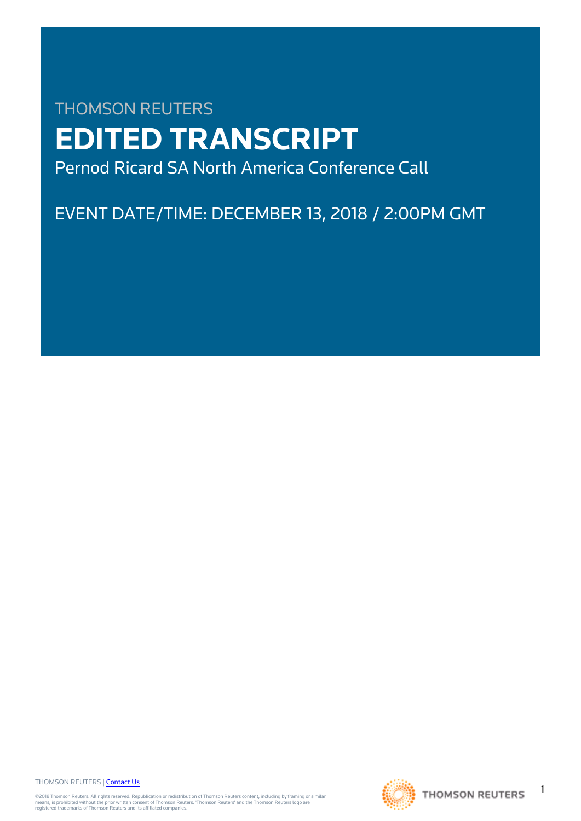# THOMSON REUTERS **EDITED TRANSCRIPT** Pernod Ricard SA North America Conference Call

EVENT DATE/TIME: DECEMBER 13, 2018 / 2:00PM GMT

THOMSON REUTERS | [Contact Us](https://my.thomsonreuters.com/ContactUsNew)

©2018 Thomson Reuters. All rights reserved. Republication or redistribution of Thomson Reuters content, including by framing or similar<br>means, is prohibited without the prior written consent of Thomson Reuters. "Thomson Re



1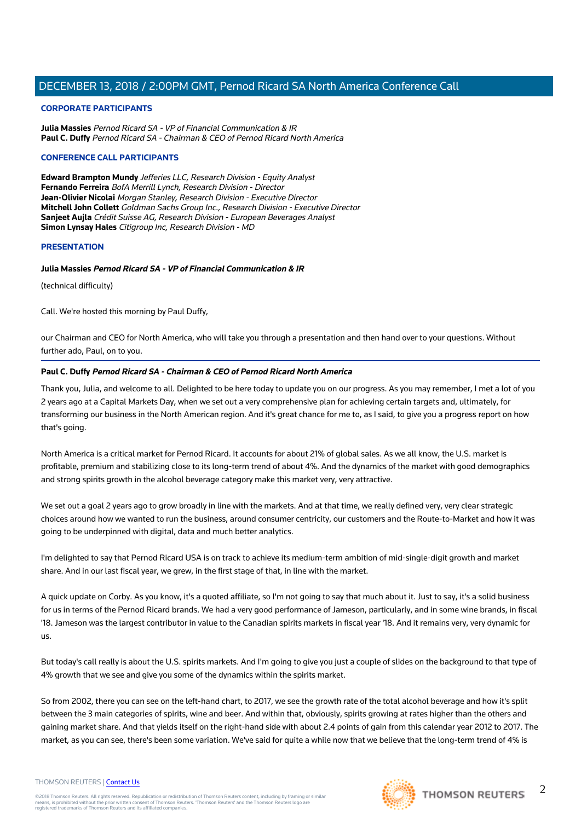#### **CORPORATE PARTICIPANTS**

**Julia Massies** Pernod Ricard SA - VP of Financial Communication & IR **Paul C. Duffy** Pernod Ricard SA - Chairman & CEO of Pernod Ricard North America

#### **CONFERENCE CALL PARTICIPANTS**

**Edward Brampton Mundy** Jefferies LLC, Research Division - Equity Analyst **Fernando Ferreira** BofA Merrill Lynch, Research Division - Director **Jean-Olivier Nicolai** Morgan Stanley, Research Division - Executive Director **Mitchell John Collett** Goldman Sachs Group Inc., Research Division - Executive Director **Sanjeet Aujla** Crédit Suisse AG, Research Division - European Beverages Analyst **Simon Lynsay Hales** Citigroup Inc, Research Division - MD

#### **PRESENTATION**

#### **Julia Massies Pernod Ricard SA - VP of Financial Communication & IR**

(technical difficulty)

Call. We're hosted this morning by Paul Duffy,

our Chairman and CEO for North America, who will take you through a presentation and then hand over to your questions. Without further ado, Paul, on to you.

#### **Paul C. Duffy Pernod Ricard SA - Chairman & CEO of Pernod Ricard North America**

Thank you, Julia, and welcome to all. Delighted to be here today to update you on our progress. As you may remember, I met a lot of you 2 years ago at a Capital Markets Day, when we set out a very comprehensive plan for achieving certain targets and, ultimately, for transforming our business in the North American region. And it's great chance for me to, as I said, to give you a progress report on how that's going.

North America is a critical market for Pernod Ricard. It accounts for about 21% of global sales. As we all know, the U.S. market is profitable, premium and stabilizing close to its long-term trend of about 4%. And the dynamics of the market with good demographics and strong spirits growth in the alcohol beverage category make this market very, very attractive.

We set out a goal 2 years ago to grow broadly in line with the markets. And at that time, we really defined very, very clear strategic choices around how we wanted to run the business, around consumer centricity, our customers and the Route-to-Market and how it was going to be underpinned with digital, data and much better analytics.

I'm delighted to say that Pernod Ricard USA is on track to achieve its medium-term ambition of mid-single-digit growth and market share. And in our last fiscal year, we grew, in the first stage of that, in line with the market.

A quick update on Corby. As you know, it's a quoted affiliate, so I'm not going to say that much about it. Just to say, it's a solid business for us in terms of the Pernod Ricard brands. We had a very good performance of Jameson, particularly, and in some wine brands, in fiscal '18. Jameson was the largest contributor in value to the Canadian spirits markets in fiscal year '18. And it remains very, very dynamic for us.

But today's call really is about the U.S. spirits markets. And I'm going to give you just a couple of slides on the background to that type of 4% growth that we see and give you some of the dynamics within the spirits market.

So from 2002, there you can see on the left-hand chart, to 2017, we see the growth rate of the total alcohol beverage and how it's split between the 3 main categories of spirits, wine and beer. And within that, obviously, spirits growing at rates higher than the others and gaining market share. And that yields itself on the right-hand side with about 2.4 points of gain from this calendar year 2012 to 2017. The market, as you can see, there's been some variation. We've said for quite a while now that we believe that the long-term trend of 4% is

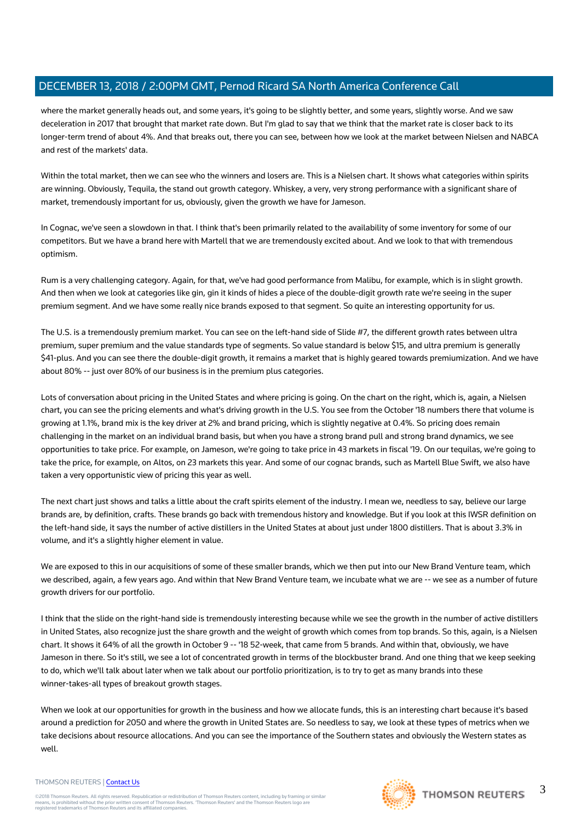where the market generally heads out, and some years, it's going to be slightly better, and some years, slightly worse. And we saw deceleration in 2017 that brought that market rate down. But I'm glad to say that we think that the market rate is closer back to its longer-term trend of about 4%. And that breaks out, there you can see, between how we look at the market between Nielsen and NABCA and rest of the markets' data.

Within the total market, then we can see who the winners and losers are. This is a Nielsen chart. It shows what categories within spirits are winning. Obviously, Tequila, the stand out growth category. Whiskey, a very, very strong performance with a significant share of market, tremendously important for us, obviously, given the growth we have for Jameson.

In Cognac, we've seen a slowdown in that. I think that's been primarily related to the availability of some inventory for some of our competitors. But we have a brand here with Martell that we are tremendously excited about. And we look to that with tremendous optimism.

Rum is a very challenging category. Again, for that, we've had good performance from Malibu, for example, which is in slight growth. And then when we look at categories like gin, gin it kinds of hides a piece of the double-digit growth rate we're seeing in the super premium segment. And we have some really nice brands exposed to that segment. So quite an interesting opportunity for us.

The U.S. is a tremendously premium market. You can see on the left-hand side of Slide #7, the different growth rates between ultra premium, super premium and the value standards type of segments. So value standard is below \$15, and ultra premium is generally \$41-plus. And you can see there the double-digit growth, it remains a market that is highly geared towards premiumization. And we have about 80% -- just over 80% of our business is in the premium plus categories.

Lots of conversation about pricing in the United States and where pricing is going. On the chart on the right, which is, again, a Nielsen chart, you can see the pricing elements and what's driving growth in the U.S. You see from the October '18 numbers there that volume is growing at 1.1%, brand mix is the key driver at 2% and brand pricing, which is slightly negative at 0.4%. So pricing does remain challenging in the market on an individual brand basis, but when you have a strong brand pull and strong brand dynamics, we see opportunities to take price. For example, on Jameson, we're going to take price in 43 markets in fiscal '19. On our tequilas, we're going to take the price, for example, on Altos, on 23 markets this year. And some of our cognac brands, such as Martell Blue Swift, we also have taken a very opportunistic view of pricing this year as well.

The next chart just shows and talks a little about the craft spirits element of the industry. I mean we, needless to say, believe our large brands are, by definition, crafts. These brands go back with tremendous history and knowledge. But if you look at this IWSR definition on the left-hand side, it says the number of active distillers in the United States at about just under 1800 distillers. That is about 3.3% in volume, and it's a slightly higher element in value.

We are exposed to this in our acquisitions of some of these smaller brands, which we then put into our New Brand Venture team, which we described, again, a few years ago. And within that New Brand Venture team, we incubate what we are -- we see as a number of future growth drivers for our portfolio.

I think that the slide on the right-hand side is tremendously interesting because while we see the growth in the number of active distillers in United States, also recognize just the share growth and the weight of growth which comes from top brands. So this, again, is a Nielsen chart. It shows it 64% of all the growth in October 9 -- '18 52-week, that came from 5 brands. And within that, obviously, we have Jameson in there. So it's still, we see a lot of concentrated growth in terms of the blockbuster brand. And one thing that we keep seeking to do, which we'll talk about later when we talk about our portfolio prioritization, is to try to get as many brands into these winner-takes-all types of breakout growth stages.

When we look at our opportunities for growth in the business and how we allocate funds, this is an interesting chart because it's based around a prediction for 2050 and where the growth in United States are. So needless to say, we look at these types of metrics when we take decisions about resource allocations. And you can see the importance of the Southern states and obviously the Western states as well.

#### THOMSON REUTERS | [Contact Us](https://my.thomsonreuters.com/ContactUsNew)

©2018 Thomson Reuters. All rights reserved. Republication or redistribution of Thomson Reuters content, including by framing or similar<br>means, is prohibited without the prior written consent of Thomson Reuters. "Thomson Re

THOMSON REUTERS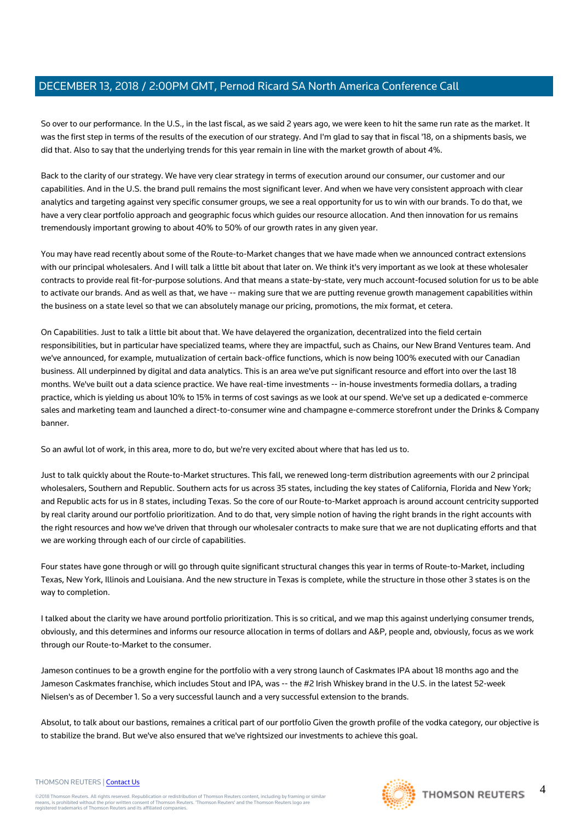So over to our performance. In the U.S., in the last fiscal, as we said 2 years ago, we were keen to hit the same run rate as the market. It was the first step in terms of the results of the execution of our strategy. And I'm glad to say that in fiscal '18, on a shipments basis, we did that. Also to say that the underlying trends for this year remain in line with the market growth of about 4%.

Back to the clarity of our strategy. We have very clear strategy in terms of execution around our consumer, our customer and our capabilities. And in the U.S. the brand pull remains the most significant lever. And when we have very consistent approach with clear analytics and targeting against very specific consumer groups, we see a real opportunity for us to win with our brands. To do that, we have a very clear portfolio approach and geographic focus which guides our resource allocation. And then innovation for us remains tremendously important growing to about 40% to 50% of our growth rates in any given year.

You may have read recently about some of the Route-to-Market changes that we have made when we announced contract extensions with our principal wholesalers. And I will talk a little bit about that later on. We think it's very important as we look at these wholesaler contracts to provide real fit-for-purpose solutions. And that means a state-by-state, very much account-focused solution for us to be able to activate our brands. And as well as that, we have -- making sure that we are putting revenue growth management capabilities within the business on a state level so that we can absolutely manage our pricing, promotions, the mix format, et cetera.

On Capabilities. Just to talk a little bit about that. We have delayered the organization, decentralized into the field certain responsibilities, but in particular have specialized teams, where they are impactful, such as Chains, our New Brand Ventures team. And we've announced, for example, mutualization of certain back-office functions, which is now being 100% executed with our Canadian business. All underpinned by digital and data analytics. This is an area we've put significant resource and effort into over the last 18 months. We've built out a data science practice. We have real-time investments -- in-house investments formedia dollars, a trading practice, which is yielding us about 10% to 15% in terms of cost savings as we look at our spend. We've set up a dedicated e-commerce sales and marketing team and launched a direct-to-consumer wine and champagne e-commerce storefront under the Drinks & Company banner.

So an awful lot of work, in this area, more to do, but we're very excited about where that has led us to.

Just to talk quickly about the Route-to-Market structures. This fall, we renewed long-term distribution agreements with our 2 principal wholesalers, Southern and Republic. Southern acts for us across 35 states, including the key states of California, Florida and New York; and Republic acts for us in 8 states, including Texas. So the core of our Route-to-Market approach is around account centricity supported by real clarity around our portfolio prioritization. And to do that, very simple notion of having the right brands in the right accounts with the right resources and how we've driven that through our wholesaler contracts to make sure that we are not duplicating efforts and that we are working through each of our circle of capabilities.

Four states have gone through or will go through quite significant structural changes this year in terms of Route-to-Market, including Texas, New York, Illinois and Louisiana. And the new structure in Texas is complete, while the structure in those other 3 states is on the way to completion.

I talked about the clarity we have around portfolio prioritization. This is so critical, and we map this against underlying consumer trends, obviously, and this determines and informs our resource allocation in terms of dollars and A&P, people and, obviously, focus as we work through our Route-to-Market to the consumer.

Jameson continues to be a growth engine for the portfolio with a very strong launch of Caskmates IPA about 18 months ago and the Jameson Caskmates franchise, which includes Stout and IPA, was -- the #2 Irish Whiskey brand in the U.S. in the latest 52-week Nielsen's as of December 1. So a very successful launch and a very successful extension to the brands.

Absolut, to talk about our bastions, remaines a critical part of our portfolio Given the growth profile of the vodka category, our objective is to stabilize the brand. But we've also ensured that we've rightsized our investments to achieve this goal.

#### THOMSON REUTERS | [Contact Us](https://my.thomsonreuters.com/ContactUsNew)



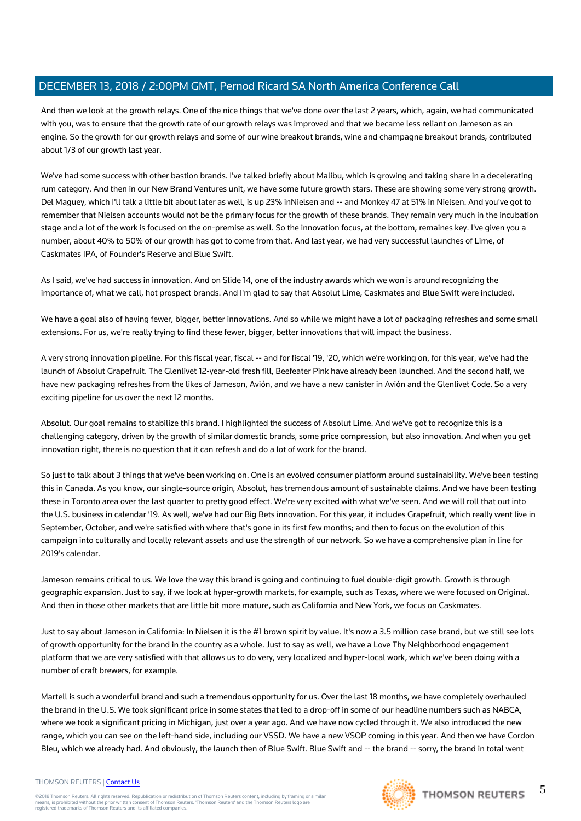And then we look at the growth relays. One of the nice things that we've done over the last 2 years, which, again, we had communicated with you, was to ensure that the growth rate of our growth relays was improved and that we became less reliant on Jameson as an engine. So the growth for our growth relays and some of our wine breakout brands, wine and champagne breakout brands, contributed about 1/3 of our growth last year.

We've had some success with other bastion brands. I've talked briefly about Malibu, which is growing and taking share in a decelerating rum category. And then in our New Brand Ventures unit, we have some future growth stars. These are showing some very strong growth. Del Maguey, which I'll talk a little bit about later as well, is up 23% inNielsen and -- and Monkey 47 at 51% in Nielsen. And you've got to remember that Nielsen accounts would not be the primary focus for the growth of these brands. They remain very much in the incubation stage and a lot of the work is focused on the on-premise as well. So the innovation focus, at the bottom, remaines key. I've given you a number, about 40% to 50% of our growth has got to come from that. And last year, we had very successful launches of Lime, of Caskmates IPA, of Founder's Reserve and Blue Swift.

As I said, we've had success in innovation. And on Slide 14, one of the industry awards which we won is around recognizing the importance of, what we call, hot prospect brands. And I'm glad to say that Absolut Lime, Caskmates and Blue Swift were included.

We have a goal also of having fewer, bigger, better innovations. And so while we might have a lot of packaging refreshes and some small extensions. For us, we're really trying to find these fewer, bigger, better innovations that will impact the business.

A very strong innovation pipeline. For this fiscal year, fiscal -- and for fiscal '19, '20, which we're working on, for this year, we've had the launch of Absolut Grapefruit. The Glenlivet 12-year-old fresh fill, Beefeater Pink have already been launched. And the second half, we have new packaging refreshes from the likes of Jameson, Avión, and we have a new canister in Avión and the Glenlivet Code. So a very exciting pipeline for us over the next 12 months.

Absolut. Our goal remains to stabilize this brand. I highlighted the success of Absolut Lime. And we've got to recognize this is a challenging category, driven by the growth of similar domestic brands, some price compression, but also innovation. And when you get innovation right, there is no question that it can refresh and do a lot of work for the brand.

So just to talk about 3 things that we've been working on. One is an evolved consumer platform around sustainability. We've been testing this in Canada. As you know, our single-source origin, Absolut, has tremendous amount of sustainable claims. And we have been testing these in Toronto area over the last quarter to pretty good effect. We're very excited with what we've seen. And we will roll that out into the U.S. business in calendar '19. As well, we've had our Big Bets innovation. For this year, it includes Grapefruit, which really went live in September, October, and we're satisfied with where that's gone in its first few months; and then to focus on the evolution of this campaign into culturally and locally relevant assets and use the strength of our network. So we have a comprehensive plan in line for 2019's calendar.

Jameson remains critical to us. We love the way this brand is going and continuing to fuel double-digit growth. Growth is through geographic expansion. Just to say, if we look at hyper-growth markets, for example, such as Texas, where we were focused on Original. And then in those other markets that are little bit more mature, such as California and New York, we focus on Caskmates.

Just to say about Jameson in California: In Nielsen it is the #1 brown spirit by value. It's now a 3.5 million case brand, but we still see lots of growth opportunity for the brand in the country as a whole. Just to say as well, we have a Love Thy Neighborhood engagement platform that we are very satisfied with that allows us to do very, very localized and hyper-local work, which we've been doing with a number of craft brewers, for example.

Martell is such a wonderful brand and such a tremendous opportunity for us. Over the last 18 months, we have completely overhauled the brand in the U.S. We took significant price in some states that led to a drop-off in some of our headline numbers such as NABCA, where we took a significant pricing in Michigan, just over a year ago. And we have now cycled through it. We also introduced the new range, which you can see on the left-hand side, including our VSSD. We have a new VSOP coming in this year. And then we have Cordon Bleu, which we already had. And obviously, the launch then of Blue Swift. Blue Swift and -- the brand -- sorry, the brand in total went

#### THOMSON REUTERS | [Contact Us](https://my.thomsonreuters.com/ContactUsNew)

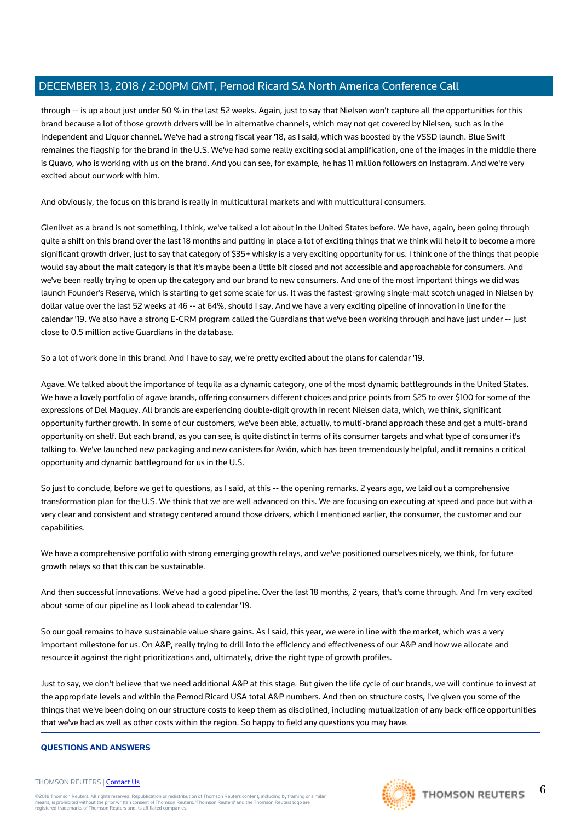through -- is up about just under 50 % in the last 52 weeks. Again, just to say that Nielsen won't capture all the opportunities for this brand because a lot of those growth drivers will be in alternative channels, which may not get covered by Nielsen, such as in the Independent and Liquor channel. We've had a strong fiscal year '18, as I said, which was boosted by the VSSD launch. Blue Swift remaines the flagship for the brand in the U.S. We've had some really exciting social amplification, one of the images in the middle there is Quavo, who is working with us on the brand. And you can see, for example, he has 11 million followers on Instagram. And we're very excited about our work with him.

And obviously, the focus on this brand is really in multicultural markets and with multicultural consumers.

Glenlivet as a brand is not something, I think, we've talked a lot about in the United States before. We have, again, been going through quite a shift on this brand over the last 18 months and putting in place a lot of exciting things that we think will help it to become a more significant growth driver, just to say that category of \$35+ whisky is a very exciting opportunity for us. I think one of the things that people would say about the malt category is that it's maybe been a little bit closed and not accessible and approachable for consumers. And we've been really trying to open up the category and our brand to new consumers. And one of the most important things we did was launch Founder's Reserve, which is starting to get some scale for us. It was the fastest-growing single-malt scotch unaged in Nielsen by dollar value over the last 52 weeks at 46 -- at 64%, should I say. And we have a very exciting pipeline of innovation in line for the calendar '19. We also have a strong E-CRM program called the Guardians that we've been working through and have just under -- just close to 0.5 million active Guardians in the database.

So a lot of work done in this brand. And I have to say, we're pretty excited about the plans for calendar '19.

Agave. We talked about the importance of tequila as a dynamic category, one of the most dynamic battlegrounds in the United States. We have a lovely portfolio of agave brands, offering consumers different choices and price points from \$25 to over \$100 for some of the expressions of Del Maguey. All brands are experiencing double-digit growth in recent Nielsen data, which, we think, significant opportunity further growth. In some of our customers, we've been able, actually, to multi-brand approach these and get a multi-brand opportunity on shelf. But each brand, as you can see, is quite distinct in terms of its consumer targets and what type of consumer it's talking to. We've launched new packaging and new canisters for Avión, which has been tremendously helpful, and it remains a critical opportunity and dynamic battleground for us in the U.S.

So just to conclude, before we get to questions, as I said, at this -- the opening remarks. 2 years ago, we laid out a comprehensive transformation plan for the U.S. We think that we are well advanced on this. We are focusing on executing at speed and pace but with a very clear and consistent and strategy centered around those drivers, which I mentioned earlier, the consumer, the customer and our capabilities.

We have a comprehensive portfolio with strong emerging growth relays, and we've positioned ourselves nicely, we think, for future growth relays so that this can be sustainable.

And then successful innovations. We've had a good pipeline. Over the last 18 months, 2 years, that's come through. And I'm very excited about some of our pipeline as I look ahead to calendar '19.

So our goal remains to have sustainable value share gains. As I said, this year, we were in line with the market, which was a very important milestone for us. On A&P, really trying to drill into the efficiency and effectiveness of our A&P and how we allocate and resource it against the right prioritizations and, ultimately, drive the right type of growth profiles.

Just to say, we don't believe that we need additional A&P at this stage. But given the life cycle of our brands, we will continue to invest at the appropriate levels and within the Pernod Ricard USA total A&P numbers. And then on structure costs, I've given you some of the things that we've been doing on our structure costs to keep them as disciplined, including mutualization of any back-office opportunities that we've had as well as other costs within the region. So happy to field any questions you may have.

#### **QUESTIONS AND ANSWERS**

#### THOMSON REUTERS | [Contact Us](https://my.thomsonreuters.com/ContactUsNew)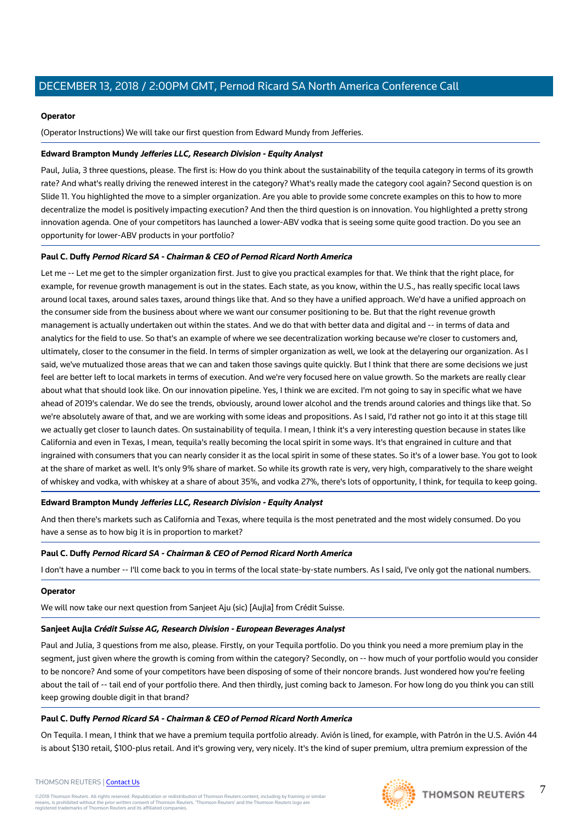#### **Operator**

(Operator Instructions) We will take our first question from Edward Mundy from Jefferies.

#### **Edward Brampton Mundy Jefferies LLC, Research Division - Equity Analyst**

Paul, Julia, 3 three questions, please. The first is: How do you think about the sustainability of the tequila category in terms of its growth rate? And what's really driving the renewed interest in the category? What's really made the category cool again? Second question is on Slide 11. You highlighted the move to a simpler organization. Are you able to provide some concrete examples on this to how to more decentralize the model is positively impacting execution? And then the third question is on innovation. You highlighted a pretty strong innovation agenda. One of your competitors has launched a lower-ABV vodka that is seeing some quite good traction. Do you see an opportunity for lower-ABV products in your portfolio?

### **Paul C. Duffy Pernod Ricard SA - Chairman & CEO of Pernod Ricard North America**

Let me -- Let me get to the simpler organization first. Just to give you practical examples for that. We think that the right place, for example, for revenue growth management is out in the states. Each state, as you know, within the U.S., has really specific local laws around local taxes, around sales taxes, around things like that. And so they have a unified approach. We'd have a unified approach on the consumer side from the business about where we want our consumer positioning to be. But that the right revenue growth management is actually undertaken out within the states. And we do that with better data and digital and -- in terms of data and analytics for the field to use. So that's an example of where we see decentralization working because we're closer to customers and, ultimately, closer to the consumer in the field. In terms of simpler organization as well, we look at the delayering our organization. As I said, we've mutualized those areas that we can and taken those savings quite quickly. But I think that there are some decisions we just feel are better left to local markets in terms of execution. And we're very focused here on value growth. So the markets are really clear about what that should look like. On our innovation pipeline. Yes, I think we are excited. I'm not going to say in specific what we have ahead of 2019's calendar. We do see the trends, obviously, around lower alcohol and the trends around calories and things like that. So we're absolutely aware of that, and we are working with some ideas and propositions. As I said, I'd rather not go into it at this stage till we actually get closer to launch dates. On sustainability of tequila. I mean, I think it's a very interesting question because in states like California and even in Texas, I mean, tequila's really becoming the local spirit in some ways. It's that engrained in culture and that ingrained with consumers that you can nearly consider it as the local spirit in some of these states. So it's of a lower base. You got to look at the share of market as well. It's only 9% share of market. So while its growth rate is very, very high, comparatively to the share weight of whiskey and vodka, with whiskey at a share of about 35%, and vodka 27%, there's lots of opportunity, I think, for tequila to keep going.

### **Edward Brampton Mundy Jefferies LLC, Research Division - Equity Analyst**

And then there's markets such as California and Texas, where tequila is the most penetrated and the most widely consumed. Do you have a sense as to how big it is in proportion to market?

### **Paul C. Duffy Pernod Ricard SA - Chairman & CEO of Pernod Ricard North America**

I don't have a number -- I'll come back to you in terms of the local state-by-state numbers. As I said, I've only got the national numbers.

#### **Operator**

We will now take our next question from Sanjeet Aju (sic) [Aujla] from Crédit Suisse.

# **Sanjeet Aujla Crédit Suisse AG, Research Division - European Beverages Analyst**

Paul and Julia, 3 questions from me also, please. Firstly, on your Tequila portfolio. Do you think you need a more premium play in the segment, just given where the growth is coming from within the category? Secondly, on -- how much of your portfolio would you consider to be noncore? And some of your competitors have been disposing of some of their noncore brands. Just wondered how you're feeling about the tail of -- tail end of your portfolio there. And then thirdly, just coming back to Jameson. For how long do you think you can still keep growing double digit in that brand?

# **Paul C. Duffy Pernod Ricard SA - Chairman & CEO of Pernod Ricard North America**

On Tequila. I mean, I think that we have a premium tequila portfolio already. Avión is lined, for example, with Patrón in the U.S. Avión 44 is about \$130 retail, \$100-plus retail. And it's growing very, very nicely. It's the kind of super premium, ultra premium expression of the



7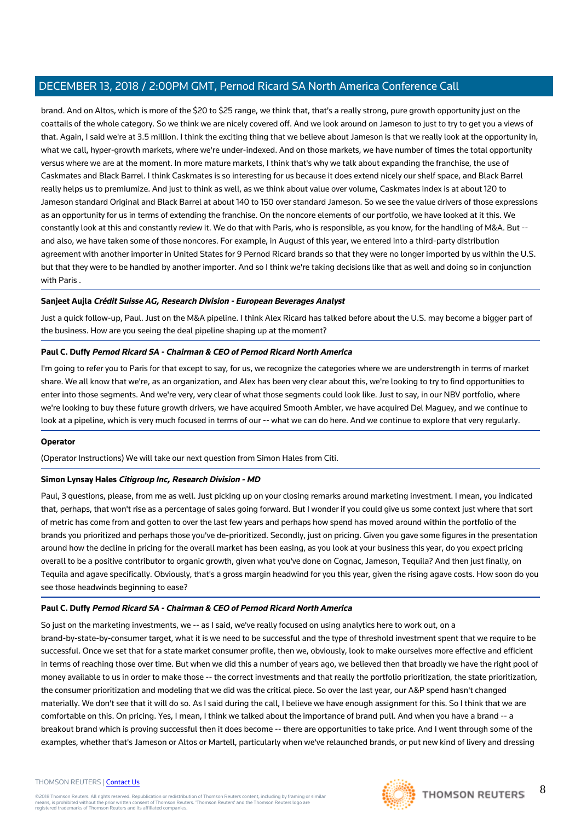brand. And on Altos, which is more of the \$20 to \$25 range, we think that, that's a really strong, pure growth opportunity just on the coattails of the whole category. So we think we are nicely covered off. And we look around on Jameson to just to try to get you a views of that. Again, I said we're at 3.5 million. I think the exciting thing that we believe about Jameson is that we really look at the opportunity in, what we call, hyper-growth markets, where we're under-indexed. And on those markets, we have number of times the total opportunity versus where we are at the moment. In more mature markets, I think that's why we talk about expanding the franchise, the use of Caskmates and Black Barrel. I think Caskmates is so interesting for us because it does extend nicely our shelf space, and Black Barrel really helps us to premiumize. And just to think as well, as we think about value over volume, Caskmates index is at about 120 to Jameson standard Original and Black Barrel at about 140 to 150 over standard Jameson. So we see the value drivers of those expressions as an opportunity for us in terms of extending the franchise. On the noncore elements of our portfolio, we have looked at it this. We constantly look at this and constantly review it. We do that with Paris, who is responsible, as you know, for the handling of M&A. But - and also, we have taken some of those noncores. For example, in August of this year, we entered into a third-party distribution agreement with another importer in United States for 9 Pernod Ricard brands so that they were no longer imported by us within the U.S. but that they were to be handled by another importer. And so I think we're taking decisions like that as well and doing so in conjunction with Paris .

#### **Sanjeet Aujla Crédit Suisse AG, Research Division - European Beverages Analyst**

Just a quick follow-up, Paul. Just on the M&A pipeline. I think Alex Ricard has talked before about the U.S. may become a bigger part of the business. How are you seeing the deal pipeline shaping up at the moment?

#### **Paul C. Duffy Pernod Ricard SA - Chairman & CEO of Pernod Ricard North America**

I'm going to refer you to Paris for that except to say, for us, we recognize the categories where we are understrength in terms of market share. We all know that we're, as an organization, and Alex has been very clear about this, we're looking to try to find opportunities to enter into those segments. And we're very, very clear of what those segments could look like. Just to say, in our NBV portfolio, where we're looking to buy these future growth drivers, we have acquired Smooth Ambler, we have acquired Del Maguey, and we continue to look at a pipeline, which is very much focused in terms of our -- what we can do here. And we continue to explore that very regularly.

#### **Operator**

(Operator Instructions) We will take our next question from Simon Hales from Citi.

#### **Simon Lynsay Hales Citigroup Inc, Research Division - MD**

Paul, 3 questions, please, from me as well. Just picking up on your closing remarks around marketing investment. I mean, you indicated that, perhaps, that won't rise as a percentage of sales going forward. But I wonder if you could give us some context just where that sort of metric has come from and gotten to over the last few years and perhaps how spend has moved around within the portfolio of the brands you prioritized and perhaps those you've de-prioritized. Secondly, just on pricing. Given you gave some figures in the presentation around how the decline in pricing for the overall market has been easing, as you look at your business this year, do you expect pricing overall to be a positive contributor to organic growth, given what you've done on Cognac, Jameson, Tequila? And then just finally, on Tequila and agave specifically. Obviously, that's a gross margin headwind for you this year, given the rising agave costs. How soon do you see those headwinds beginning to ease?

#### **Paul C. Duffy Pernod Ricard SA - Chairman & CEO of Pernod Ricard North America**

So just on the marketing investments, we -- as I said, we've really focused on using analytics here to work out, on a brand-by-state-by-consumer target, what it is we need to be successful and the type of threshold investment spent that we require to be successful. Once we set that for a state market consumer profile, then we, obviously, look to make ourselves more effective and efficient in terms of reaching those over time. But when we did this a number of years ago, we believed then that broadly we have the right pool of money available to us in order to make those -- the correct investments and that really the portfolio prioritization, the state prioritization, the consumer prioritization and modeling that we did was the critical piece. So over the last year, our A&P spend hasn't changed materially. We don't see that it will do so. As I said during the call, I believe we have enough assignment for this. So I think that we are comfortable on this. On pricing. Yes, I mean, I think we talked about the importance of brand pull. And when you have a brand -- a breakout brand which is proving successful then it does become -- there are opportunities to take price. And I went through some of the examples, whether that's Jameson or Altos or Martell, particularly when we've relaunched brands, or put new kind of livery and dressing

#### THOMSON REUTERS | [Contact Us](https://my.thomsonreuters.com/ContactUsNew)

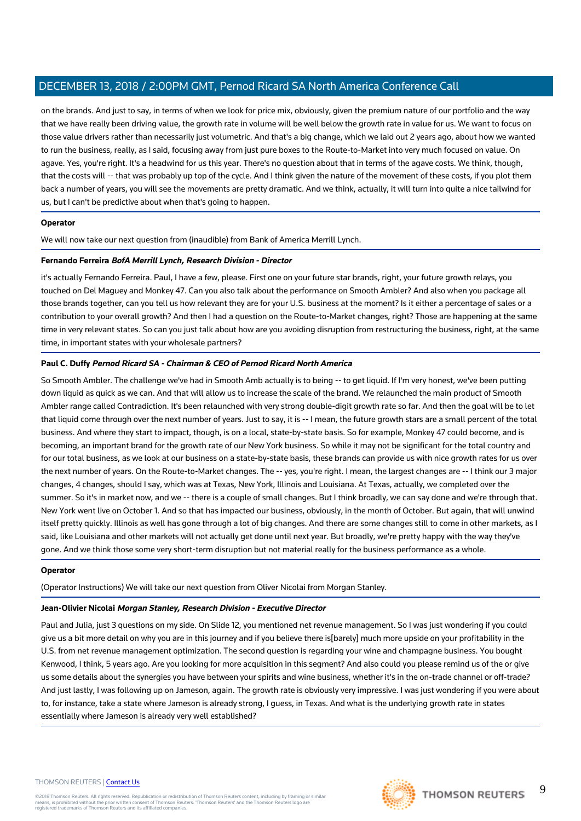on the brands. And just to say, in terms of when we look for price mix, obviously, given the premium nature of our portfolio and the way that we have really been driving value, the growth rate in volume will be well below the growth rate in value for us. We want to focus on those value drivers rather than necessarily just volumetric. And that's a big change, which we laid out 2 years ago, about how we wanted to run the business, really, as I said, focusing away from just pure boxes to the Route-to-Market into very much focused on value. On agave. Yes, you're right. It's a headwind for us this year. There's no question about that in terms of the agave costs. We think, though, that the costs will -- that was probably up top of the cycle. And I think given the nature of the movement of these costs, if you plot them back a number of years, you will see the movements are pretty dramatic. And we think, actually, it will turn into quite a nice tailwind for us, but I can't be predictive about when that's going to happen.

#### **Operator**

We will now take our next question from (inaudible) from Bank of America Merrill Lynch.

#### **Fernando Ferreira BofA Merrill Lynch, Research Division - Director**

it's actually Fernando Ferreira. Paul, I have a few, please. First one on your future star brands, right, your future growth relays, you touched on Del Maguey and Monkey 47. Can you also talk about the performance on Smooth Ambler? And also when you package all those brands together, can you tell us how relevant they are for your U.S. business at the moment? Is it either a percentage of sales or a contribution to your overall growth? And then I had a question on the Route-to-Market changes, right? Those are happening at the same time in very relevant states. So can you just talk about how are you avoiding disruption from restructuring the business, right, at the same time, in important states with your wholesale partners?

#### **Paul C. Duffy Pernod Ricard SA - Chairman & CEO of Pernod Ricard North America**

So Smooth Ambler. The challenge we've had in Smooth Amb actually is to being -- to get liquid. If I'm very honest, we've been putting down liquid as quick as we can. And that will allow us to increase the scale of the brand. We relaunched the main product of Smooth Ambler range called Contradiction. It's been relaunched with very strong double-digit growth rate so far. And then the goal will be to let that liquid come through over the next number of years. Just to say, it is -- I mean, the future growth stars are a small percent of the total business. And where they start to impact, though, is on a local, state-by-state basis. So for example, Monkey 47 could become, and is becoming, an important brand for the growth rate of our New York business. So while it may not be significant for the total country and for our total business, as we look at our business on a state-by-state basis, these brands can provide us with nice growth rates for us over the next number of years. On the Route-to-Market changes. The -- yes, you're right. I mean, the largest changes are -- I think our 3 major changes, 4 changes, should I say, which was at Texas, New York, Illinois and Louisiana. At Texas, actually, we completed over the summer. So it's in market now, and we -- there is a couple of small changes. But I think broadly, we can say done and we're through that. New York went live on October 1. And so that has impacted our business, obviously, in the month of October. But again, that will unwind itself pretty quickly. Illinois as well has gone through a lot of big changes. And there are some changes still to come in other markets, as I said, like Louisiana and other markets will not actually get done until next year. But broadly, we're pretty happy with the way they've gone. And we think those some very short-term disruption but not material really for the business performance as a whole.

#### **Operator**

(Operator Instructions) We will take our next question from Oliver Nicolai from Morgan Stanley.

#### **Jean-Olivier Nicolai Morgan Stanley, Research Division - Executive Director**

Paul and Julia, just 3 questions on my side. On Slide 12, you mentioned net revenue management. So I was just wondering if you could give us a bit more detail on why you are in this journey and if you believe there is[barely] much more upside on your profitability in the U.S. from net revenue management optimization. The second question is regarding your wine and champagne business. You bought Kenwood, I think, 5 years ago. Are you looking for more acquisition in this segment? And also could you please remind us of the or give us some details about the synergies you have between your spirits and wine business, whether it's in the on-trade channel or off-trade? And just lastly, I was following up on Jameson, again. The growth rate is obviously very impressive. I was just wondering if you were about to, for instance, take a state where Jameson is already strong, I guess, in Texas. And what is the underlying growth rate in states essentially where Jameson is already very well established?

#### THOMSON REUTERS | [Contact Us](https://my.thomsonreuters.com/ContactUsNew)

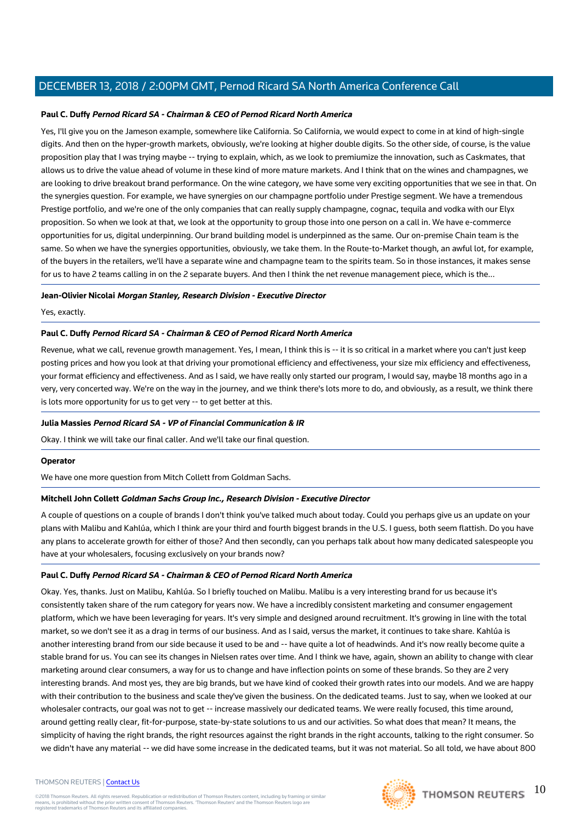#### **Paul C. Duffy Pernod Ricard SA - Chairman & CEO of Pernod Ricard North America**

Yes, I'll give you on the Jameson example, somewhere like California. So California, we would expect to come in at kind of high-single digits. And then on the hyper-growth markets, obviously, we're looking at higher double digits. So the other side, of course, is the value proposition play that I was trying maybe -- trying to explain, which, as we look to premiumize the innovation, such as Caskmates, that allows us to drive the value ahead of volume in these kind of more mature markets. And I think that on the wines and champagnes, we are looking to drive breakout brand performance. On the wine category, we have some very exciting opportunities that we see in that. On the synergies question. For example, we have synergies on our champagne portfolio under Prestige segment. We have a tremendous Prestige portfolio, and we're one of the only companies that can really supply champagne, cognac, tequila and vodka with our Elyx proposition. So when we look at that, we look at the opportunity to group those into one person on a call in. We have e-commerce opportunities for us, digital underpinning. Our brand building model is underpinned as the same. Our on-premise Chain team is the same. So when we have the synergies opportunities, obviously, we take them. In the Route-to-Market though, an awful lot, for example, of the buyers in the retailers, we'll have a separate wine and champagne team to the spirits team. So in those instances, it makes sense for us to have 2 teams calling in on the 2 separate buyers. And then I think the net revenue management piece, which is the...

#### **Jean-Olivier Nicolai Morgan Stanley, Research Division - Executive Director**

Yes, exactly.

#### **Paul C. Duffy Pernod Ricard SA - Chairman & CEO of Pernod Ricard North America**

Revenue, what we call, revenue growth management. Yes, I mean, I think this is -- it is so critical in a market where you can't just keep posting prices and how you look at that driving your promotional efficiency and effectiveness, your size mix efficiency and effectiveness, your format efficiency and effectiveness. And as I said, we have really only started our program, I would say, maybe 18 months ago in a very, very concerted way. We're on the way in the journey, and we think there's lots more to do, and obviously, as a result, we think there is lots more opportunity for us to get very -- to get better at this.

#### **Julia Massies Pernod Ricard SA - VP of Financial Communication & IR**

Okay. I think we will take our final caller. And we'll take our final question.

#### **Operator**

We have one more question from Mitch Collett from Goldman Sachs.

#### **Mitchell John Collett Goldman Sachs Group Inc., Research Division - Executive Director**

A couple of questions on a couple of brands I don't think you've talked much about today. Could you perhaps give us an update on your plans with Malibu and Kahlúa, which I think are your third and fourth biggest brands in the U.S. I guess, both seem flattish. Do you have any plans to accelerate growth for either of those? And then secondly, can you perhaps talk about how many dedicated salespeople you have at your wholesalers, focusing exclusively on your brands now?

#### **Paul C. Duffy Pernod Ricard SA - Chairman & CEO of Pernod Ricard North America**

Okay. Yes, thanks. Just on Malibu, Kahlúa. So I briefly touched on Malibu. Malibu is a very interesting brand for us because it's consistently taken share of the rum category for years now. We have a incredibly consistent marketing and consumer engagement platform, which we have been leveraging for years. It's very simple and designed around recruitment. It's growing in line with the total market, so we don't see it as a drag in terms of our business. And as I said, versus the market, it continues to take share. Kahlúa is another interesting brand from our side because it used to be and -- have quite a lot of headwinds. And it's now really become quite a stable brand for us. You can see its changes in Nielsen rates over time. And I think we have, again, shown an ability to change with clear marketing around clear consumers, a way for us to change and have inflection points on some of these brands. So they are 2 very interesting brands. And most yes, they are big brands, but we have kind of cooked their growth rates into our models. And we are happy with their contribution to the business and scale they've given the business. On the dedicated teams. Just to say, when we looked at our wholesaler contracts, our goal was not to get -- increase massively our dedicated teams. We were really focused, this time around, around getting really clear, fit-for-purpose, state-by-state solutions to us and our activities. So what does that mean? It means, the simplicity of having the right brands, the right resources against the right brands in the right accounts, talking to the right consumer. So we didn't have any material -- we did have some increase in the dedicated teams, but it was not material. So all told, we have about 800

#### THOMSON REUTERS | [Contact Us](https://my.thomsonreuters.com/ContactUsNew)